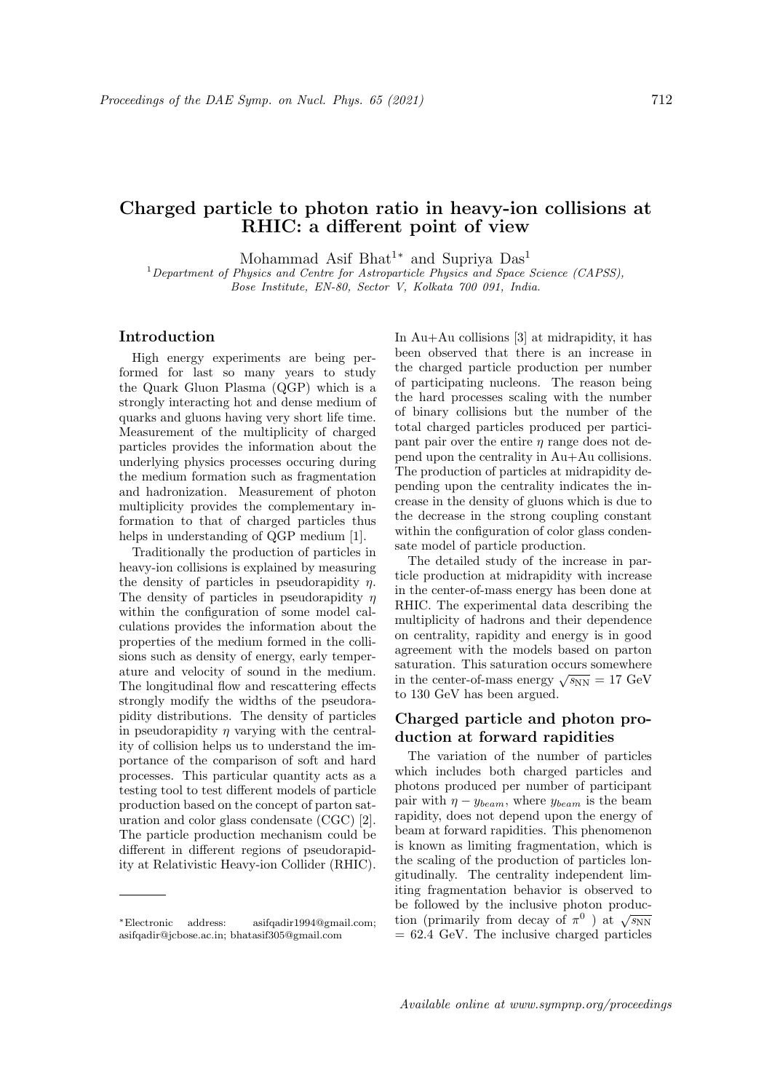# Charged particle to photon ratio in heavy-ion collisions at

Mohammad Asif Bhat<sup>1∗</sup> and Supriya Das<sup>1</sup>

RHIC: a different point of view

 $1$  Department of Physics and Centre for Astroparticle Physics and Space Science (CAPSS), Bose Institute, EN-80, Sector V, Kolkata 700 091, India.

#### Introduction

High energy experiments are being performed for last so many years to study the Quark Gluon Plasma (QGP) which is a strongly interacting hot and dense medium of quarks and gluons having very short life time. Measurement of the multiplicity of charged particles provides the information about the underlying physics processes occuring during the medium formation such as fragmentation and hadronization. Measurement of photon multiplicity provides the complementary information to that of charged particles thus helps in understanding of QGP medium [1].

Traditionally the production of particles in heavy-ion collisions is explained by measuring the density of particles in pseudorapidity  $\eta$ . The density of particles in pseudorapidity  $\eta$ within the configuration of some model calculations provides the information about the properties of the medium formed in the collisions such as density of energy, early temperature and velocity of sound in the medium. The longitudinal flow and rescattering effects strongly modify the widths of the pseudorapidity distributions. The density of particles in pseudorapidity  $\eta$  varying with the centrality of collision helps us to understand the importance of the comparison of soft and hard processes. This particular quantity acts as a testing tool to test different models of particle production based on the concept of parton saturation and color glass condensate (CGC) [2]. The particle production mechanism could be different in different regions of pseudorapidity at Relativistic Heavy-ion Collider (RHIC).

In Au+Au collisions [3] at midrapidity, it has been observed that there is an increase in the charged particle production per number of participating nucleons. The reason being the hard processes scaling with the number of binary collisions but the number of the total charged particles produced per participant pair over the entire  $\eta$  range does not depend upon the centrality in Au+Au collisions. The production of particles at midrapidity depending upon the centrality indicates the increase in the density of gluons which is due to the decrease in the strong coupling constant within the configuration of color glass condensate model of particle production.

The detailed study of the increase in particle production at midrapidity with increase in the center-of-mass energy has been done at RHIC. The experimental data describing the multiplicity of hadrons and their dependence on centrality, rapidity and energy is in good agreement with the models based on parton saturation. This saturation occurs somewhere saturation. This saturation occurs somewhere<br>in the center-of-mass energy  $\sqrt{s_{NN}} = 17 \text{ GeV}$ to 130 GeV has been argued.

## Charged particle and photon production at forward rapidities

The variation of the number of particles which includes both charged particles and photons produced per number of participant pair with  $\eta - y_{beam}$ , where  $y_{beam}$  is the beam rapidity, does not depend upon the energy of beam at forward rapidities. This phenomenon is known as limiting fragmentation, which is the scaling of the production of particles longitudinally. The centrality independent limiting fragmentation behavior is observed to be followed by the inclusive photon producbe followed by the inclusive photon produc-<br>tion (primarily from decay of  $\pi^0$ ) at  $\sqrt{s_{NN}}$  $= 62.4$  GeV. The inclusive charged particles

<sup>∗</sup>Electronic address: asifqadir1994@gmail.com; asifqadir@jcbose.ac.in; bhatasif305@gmail.com